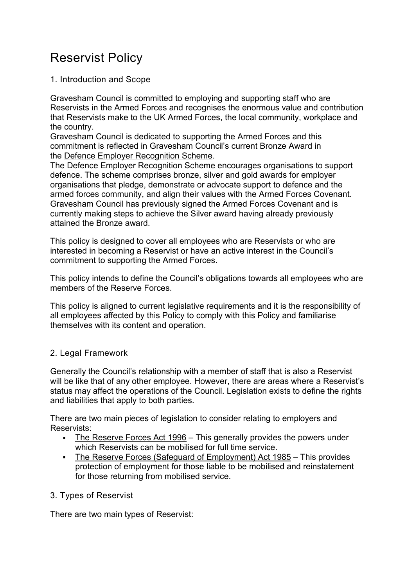# Reservist Policy

1. Introduction and Scope

Gravesham Council is committed to employing and supporting staff who are Reservists in the Armed Forces and recognises the enormous value and contribution that Reservists make to the UK Armed Forces, the local community, workplace and the country.

Gravesham Council is dedicated to supporting the Armed Forces and this commitment is reflected in Gravesham Council's current Bronze Award in the [Defence Employer Recognition Scheme.](https://www.gov.uk/government/publications/defence-employer-recognition-scheme/defence-employer-recognition-scheme)

The Defence Employer Recognition Scheme encourages organisations to support defence. The scheme comprises bronze, silver and gold awards for employer organisations that pledge, demonstrate or advocate support to defence and the armed forces community, and align their values with the Armed Forces Covenant. Gravesham Council has previously signed the [Armed Forces Covenant](https://www.armedforcescovenant.gov.uk/) and is currently making steps to achieve the Silver award having already previously attained the Bronze award.

This policy is designed to cover all employees who are Reservists or who are interested in becoming a Reservist or have an active interest in the Council's commitment to supporting the Armed Forces.

This policy intends to define the Council's obligations towards all employees who are members of the Reserve Forces.

This policy is aligned to current legislative requirements and it is the responsibility of all employees affected by this Policy to comply with this Policy and familiarise themselves with its content and operation.

## 2. Legal Framework

Generally the Council's relationship with a member of staff that is also a Reservist will be like that of any other employee. However, there are areas where a Reservist's status may affect the operations of the Council. Legislation exists to define the rights and liabilities that apply to both parties.

There are two main pieces of legislation to consider relating to employers and Reservists:

- [The Reserve Forces Act 1996](http://www.legislation.gov.uk/ukpga/1996/14/contents) This generally provides the powers under which Reservists can be mobilised for full time service.
- [The Reserve Forces \(Safeguard of Employment\) Act 1985](http://www.legislation.gov.uk/ukpga/1985/17) This provides protection of employment for those liable to be mobilised and reinstatement for those returning from mobilised service.

## 3. Types of Reservist

There are two main types of Reservist: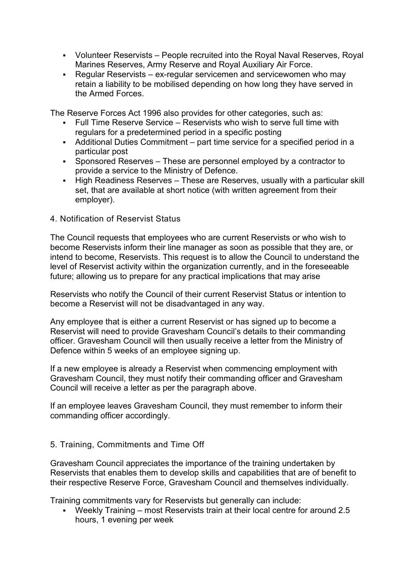- Volunteer Reservists People recruited into the Royal Naval Reserves, Royal Marines Reserves, Army Reserve and Royal Auxiliary Air Force.
- Regular Reservists ex-regular servicemen and servicewomen who may retain a liability to be mobilised depending on how long they have served in the Armed Forces.

The Reserve Forces Act 1996 also provides for other categories, such as:

- Full Time Reserve Service Reservists who wish to serve full time with regulars for a predetermined period in a specific posting
- Additional Duties Commitment part time service for a specified period in a particular post
- Sponsored Reserves These are personnel employed by a contractor to provide a service to the Ministry of Defence.
- High Readiness Reserves These are Reserves, usually with a particular skill set, that are available at short notice (with written agreement from their employer).
- 4. Notification of Reservist Status

The Council requests that employees who are current Reservists or who wish to become Reservists inform their line manager as soon as possible that they are, or intend to become, Reservists. This request is to allow the Council to understand the level of Reservist activity within the organization currently, and in the foreseeable future; allowing us to prepare for any practical implications that may arise

Reservists who notify the Council of their current Reservist Status or intention to become a Reservist will not be disadvantaged in any way.

Any employee that is either a current Reservist or has signed up to become a Reservist will need to provide Gravesham Council's details to their commanding officer. Gravesham Council will then usually receive a letter from the Ministry of Defence within 5 weeks of an employee signing up.

If a new employee is already a Reservist when commencing employment with Gravesham Council, they must notify their commanding officer and Gravesham Council will receive a letter as per the paragraph above.

If an employee leaves Gravesham Council, they must remember to inform their commanding officer accordingly.

#### 5. Training, Commitments and Time Off

Gravesham Council appreciates the importance of the training undertaken by Reservists that enables them to develop skills and capabilities that are of benefit to their respective Reserve Force, Gravesham Council and themselves individually.

Training commitments vary for Reservists but generally can include:

 Weekly Training – most Reservists train at their local centre for around 2.5 hours, 1 evening per week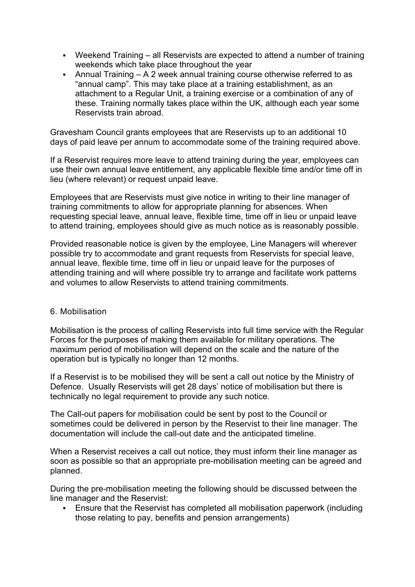- Weekend Training all Reservists are expected to attend a number of training weekends which take place throughout the year
- Annual Training A 2 week annual training course otherwise referred to as "annual camp". This may take place at a training establishment, as an attachment to a Regular Unit, a training exercise or a combination of any of these. Training normally takes place within the UK, although each year some Reservists train abroad.

Gravesham Council grants employees that are Reservists up to an additional 10 days of paid leave per annum to accommodate some of the training required above.

If a Reservist requires more leave to attend training during the year, employees can use their own annual leave entitlement, any applicable flexible time and/or time off in lieu (where relevant) or request unpaid leave.

Employees that are Reservists must give notice in writing to their line manager of training commitments to allow for appropriate planning for absences. When requesting special leave, annual leave, flexible time, time off in lieu or unpaid leave to attend training, employees should give as much notice as is reasonably possible.

Provided reasonable notice is given by the employee, Line Managers will wherever possible try to accommodate and grant requests from Reservists for special leave, annual leave, flexible time, time off in lieu or unpaid leave for the purposes of attending training and will where possible try to arrange and facilitate work patterns and volumes to allow Reservists to attend training commitments.

#### 6. Mobilisation

Mobilisation is the process of calling Reservists into full time service with the Regular Forces for the purposes of making them available for military operations. The maximum period of mobilisation will depend on the scale and the nature of the operation but is typically no longer than 12 months.

If a Reservist is to be mobilised they will be sent a call out notice by the Ministry of Defence. Usually Reservists will get 28 days' notice of mobilisation but there is technically no legal requirement to provide any such notice.

The Call-out papers for mobilisation could be sent by post to the Council or sometimes could be delivered in person by the Reservist to their line manager. The documentation will include the call-out date and the anticipated timeline.

When a Reservist receives a call out notice, they must inform their line manager as soon as possible so that an appropriate pre-mobilisation meeting can be agreed and planned.

During the pre-mobilisation meeting the following should be discussed between the line manager and the Reservist:

 Ensure that the Reservist has completed all mobilisation paperwork (including those relating to pay, benefits and pension arrangements)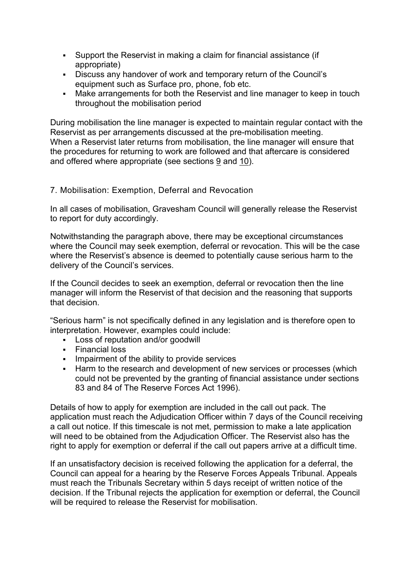- Support the Reservist in making a claim for financial assistance (if appropriate)
- Discuss any handover of work and temporary return of the Council's equipment such as Surface pro, phone, fob etc.
- Make arrangements for both the Reservist and line manager to keep in touch throughout the mobilisation period

During mobilisation the line manager is expected to maintain regular contact with the Reservist as per arrangements discussed at the pre-mobilisation meeting. When a Reservist later returns from mobilisation, the line manager will ensure that the procedures for returning to work are followed and that aftercare is considered and offered where appropriate (see sections [9](https://www.gravesham.gov.uk/home/about-the-council/policies-strategies-open-data/policies/reservist-policy/returning-to-work-after-mobilisation) and [10\)](https://www.gravesham.gov.uk/home/about-the-council/policies-strategies-open-data/policies/reservist-policy/aftercare).

#### 7. Mobilisation: Exemption, Deferral and Revocation

In all cases of mobilisation, Gravesham Council will generally release the Reservist to report for duty accordingly.

Notwithstanding the paragraph above, there may be exceptional circumstances where the Council may seek exemption, deferral or revocation. This will be the case where the Reservist's absence is deemed to potentially cause serious harm to the delivery of the Council's services.

If the Council decides to seek an exemption, deferral or revocation then the line manager will inform the Reservist of that decision and the reasoning that supports that decision.

"Serious harm" is not specifically defined in any legislation and is therefore open to interpretation. However, examples could include:

- Loss of reputation and/or goodwill
- Financial loss
- **IMPA** Impairment of the ability to provide services
- **Harm to the research and development of new services or processes (which** could not be prevented by the granting of financial assistance under sections 83 and 84 of The Reserve Forces Act 1996).

Details of how to apply for exemption are included in the call out pack. The application must reach the Adjudication Officer within 7 days of the Council receiving a call out notice. If this timescale is not met, permission to make a late application will need to be obtained from the Adjudication Officer. The Reservist also has the right to apply for exemption or deferral if the call out papers arrive at a difficult time.

If an unsatisfactory decision is received following the application for a deferral, the Council can appeal for a hearing by the Reserve Forces Appeals Tribunal. Appeals must reach the Tribunals Secretary within 5 days receipt of written notice of the decision. If the Tribunal rejects the application for exemption or deferral, the Council will be required to release the Reservist for mobilisation.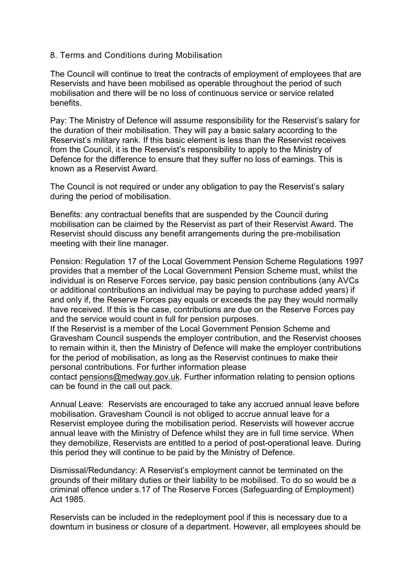#### 8. Terms and Conditions during Mobilisation

The Council will continue to treat the contracts of employment of employees that are Reservists and have been mobilised as operable throughout the period of such mobilisation and there will be no loss of continuous service or service related benefits.

Pay: The Ministry of Defence will assume responsibility for the Reservist's salary for the duration of their mobilisation. They will pay a basic salary according to the Reservist's military rank. If this basic element is less than the Reservist receives from the Council, it is the Reservist's responsibility to apply to the Ministry of Defence for the difference to ensure that they suffer no loss of earnings. This is known as a Reservist Award.

The Council is not required or under any obligation to pay the Reservist's salary during the period of mobilisation.

Benefits: any contractual benefits that are suspended by the Council during mobilisation can be claimed by the Reservist as part of their Reservist Award. The Reservist should discuss any benefit arrangements during the pre-mobilisation meeting with their line manager.

Pension: Regulation 17 of the Local Government Pension Scheme Regulations 1997 provides that a member of the Local Government Pension Scheme must, whilst the individual is on Reserve Forces service, pay basic pension contributions (any AVCs or additional contributions an individual may be paying to purchase added years) if and only if, the Reserve Forces pay equals or exceeds the pay they would normally have received. If this is the case, contributions are due on the Reserve Forces pay and the service would count in full for pension purposes.

If the Reservist is a member of the Local Government Pension Scheme and Gravesham Council suspends the employer contribution, and the Reservist chooses to remain within it, then the Ministry of Defence will make the employer contributions for the period of mobilisation, as long as the Reservist continues to make their personal contributions. For further information please

contact [pensions@medway.gov.uk.](mailto:pensions@medway.gov.uk) Further information relating to pension options can be found in the call out pack.

Annual Leave: Reservists are encouraged to take any accrued annual leave before mobilisation. Gravesham Council is not obliged to accrue annual leave for a Reservist employee during the mobilisation period. Reservists will however accrue annual leave with the Ministry of Defence whilst they are in full time service. When they demobilize, Reservists are entitled to a period of post-operational leave. During this period they will continue to be paid by the Ministry of Defence.

Dismissal/Redundancy: A Reservist's employment cannot be terminated on the grounds of their military duties or their liability to be mobilised. To do so would be a criminal offence under s.17 of The Reserve Forces (Safeguarding of Employment) Act 1985.

Reservists can be included in the redeployment pool if this is necessary due to a downturn in business or closure of a department. However, all employees should be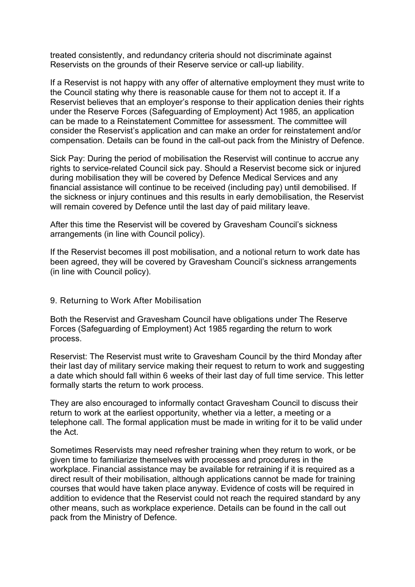treated consistently, and redundancy criteria should not discriminate against Reservists on the grounds of their Reserve service or call-up liability.

If a Reservist is not happy with any offer of alternative employment they must write to the Council stating why there is reasonable cause for them not to accept it. If a Reservist believes that an employer's response to their application denies their rights under the Reserve Forces (Safeguarding of Employment) Act 1985, an application can be made to a Reinstatement Committee for assessment. The committee will consider the Reservist's application and can make an order for reinstatement and/or compensation. Details can be found in the call-out pack from the Ministry of Defence.

Sick Pay: During the period of mobilisation the Reservist will continue to accrue any rights to service-related Council sick pay. Should a Reservist become sick or injured during mobilisation they will be covered by Defence Medical Services and any financial assistance will continue to be received (including pay) until demobilised. If the sickness or injury continues and this results in early demobilisation, the Reservist will remain covered by Defence until the last day of paid military leave.

After this time the Reservist will be covered by Gravesham Council's sickness arrangements (in line with Council policy).

If the Reservist becomes ill post mobilisation, and a notional return to work date has been agreed, they will be covered by Gravesham Council's sickness arrangements (in line with Council policy).

#### 9. Returning to Work After Mobilisation

Both the Reservist and Gravesham Council have obligations under The Reserve Forces (Safeguarding of Employment) Act 1985 regarding the return to work process.

Reservist: The Reservist must write to Gravesham Council by the third Monday after their last day of military service making their request to return to work and suggesting a date which should fall within 6 weeks of their last day of full time service. This letter formally starts the return to work process.

They are also encouraged to informally contact Gravesham Council to discuss their return to work at the earliest opportunity, whether via a letter, a meeting or a telephone call. The formal application must be made in writing for it to be valid under the Act.

Sometimes Reservists may need refresher training when they return to work, or be given time to familiarize themselves with processes and procedures in the workplace. Financial assistance may be available for retraining if it is required as a direct result of their mobilisation, although applications cannot be made for training courses that would have taken place anyway. Evidence of costs will be required in addition to evidence that the Reservist could not reach the required standard by any other means, such as workplace experience. Details can be found in the call out pack from the Ministry of Defence.